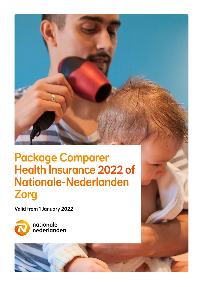# Package Comparer Health Insurance 2022 of Nationale-Nederlanden Zorg

Valid from 1 January 2022



nationale nederlanden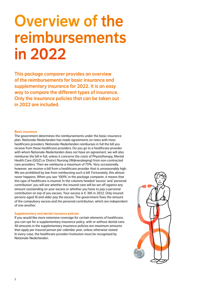# Overview of the reimbursements in 2022

This package comparer provides an overview of the reimbursements for basic insurance and supplementary insurance for 2022. It is an easy way to compare the different types of insurance. Only the insurance policies that can be taken out in 2022 are included.

#### Basic insurance

The government determines the reimbursements under the basic insurance plan. Nationale-Nederlanden has made agreements on rates with most healthcare providers. Nationale-Nederlanden reimburses in full the bill you receive from these healthcare providers. Do you go to a healthcare provider with whom Nationale-Nederlanden does not have an agreement, we will also reimburse the bill in full, unless it concerns the costs of Physiotherapy, Mental Health Care (GGZ) or District Nursing (Wijkverpleging) from non-contracted care providers. Then we reimburse a maximum of 75%. Very occasionally, however, we receive a bill from a healthcare provider that is unreasonably high. We are prohibited by law from reimbursing such a bill. Fortunately, this almost never happens. When you see '100%' in the package comparer, it means that this type of healthcare is insured. In the columns headed 'excess' and 'personal contribution' you will see whether the insured care will be set off against any amount outstanding on your excess or whether you have to pay a personal contribution on top of you excess. Your excess is € 385 in 2022. Only insured persons aged 18 and older pay the excess. The government fixes the amount of the compulsory excess and the personal contribution, which are independent of one another.

#### Supplementary and dental insurance policies

If you would like more extensive coverage for certain elements of healthcare, you can opt for a supplementary insurance policy, with or without dental care. All amounts in the supplementary insurance policies are maximum amounts that apply per insured person per calendar year, unless otherwise stated. In every case, the healthcare provider/institution must be recognised by Nationale-Nederlanden.

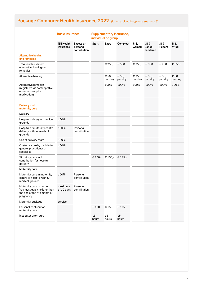|                                                                                                     | <b>Basic insurance</b>        |                                              |              | individual or group | <b>Supplementary insurance,</b> |                   |                            |                        |                        |
|-----------------------------------------------------------------------------------------------------|-------------------------------|----------------------------------------------|--------------|---------------------|---------------------------------|-------------------|----------------------------|------------------------|------------------------|
|                                                                                                     | <b>NN Health</b><br>insurance | <b>Excess or</b><br>personal<br>contribution | <b>Start</b> | Extra               | Compleet                        | Jij &<br>Gemak    | Jij &<br>Jonge<br>kinderen | Jij &<br><b>Pubers</b> | Jij &<br><b>Vitaal</b> |
| <b>Alternative healing</b><br>and remedies                                                          |                               |                                              |              |                     |                                 |                   |                            |                        |                        |
| Total reimbursement<br>alternative healing and<br>remedies                                          |                               |                                              |              | € 250,-             | € 500,-                         | € 250,-           | € 350,-                    | € 250,-                | € 350,-                |
| Alternative healing                                                                                 |                               |                                              |              | € 50,-<br>per day   | € 50,-<br>per day               | € 25,-<br>per day | € 50,-<br>per day          | € 50,-<br>per day      | € 50,-<br>per day      |
| Alternative remedies<br>(registered as homeopathic<br>or anthroposophic<br>medication)              |                               |                                              |              | 100%                | 100%                            | 100%              | 100%                       | 100%                   | 100%                   |
| <b>Delivery and</b><br>maternity care                                                               |                               |                                              |              |                     |                                 |                   |                            |                        |                        |
| <b>Delivery</b>                                                                                     |                               |                                              |              |                     |                                 |                   |                            |                        |                        |
| Hospital delivery on medical<br>grounds                                                             | 100%                          |                                              |              |                     |                                 |                   |                            |                        |                        |
| Hospital or maternity centre<br>delivery without medical<br>grounds                                 | 100%                          | Personal<br>contribution                     |              |                     |                                 |                   |                            |                        |                        |
| Use of delivery room                                                                                | 100%                          |                                              |              |                     |                                 |                   |                            |                        |                        |
| Obstetric care by a midwife,<br>general practitioner or<br>specialist                               | 100%                          |                                              |              |                     |                                 |                   |                            |                        |                        |
| Statutory personal<br>contribution for hospital<br>delivery                                         |                               |                                              | € 100,-      | € 150,-             | € 175,-                         |                   |                            |                        |                        |
| <b>Maternity care</b>                                                                               |                               |                                              |              |                     |                                 |                   |                            |                        |                        |
| Maternity care in maternity<br>centre or hospital without<br>medical grounds                        | 100%                          | Personal<br>contribution                     |              |                     |                                 |                   |                            |                        |                        |
| Maternity care at home.<br>You must apply no later than<br>the end of the 4th month of<br>pregnancy | maximum<br>of 10 days         | Personal<br>contribution                     |              |                     |                                 |                   |                            |                        |                        |
| Maternity package                                                                                   | service                       |                                              |              |                     |                                 |                   |                            |                        |                        |
| Personal contribution<br>maternity care                                                             |                               |                                              | € 100,-      | € 150,-             | € 175,-                         |                   |                            |                        |                        |
| Incubator after-care                                                                                |                               |                                              | 15<br>hours  | 15<br>hours         | 15<br>hours                     |                   |                            |                        |                        |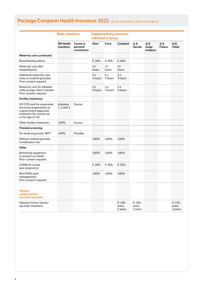|                                                                                                                                    | <b>Basic insurance</b>        |                                              |               | individual or group | <b>Supplementary insurance,</b> |                             |                            |                        |                             |
|------------------------------------------------------------------------------------------------------------------------------------|-------------------------------|----------------------------------------------|---------------|---------------------|---------------------------------|-----------------------------|----------------------------|------------------------|-----------------------------|
|                                                                                                                                    | <b>NN Health</b><br>insurance | <b>Excess or</b><br>personal<br>contribution | <b>Start</b>  | <b>Extra</b>        | Compleet                        | Jij &<br><b>Gemak</b>       | Jij &<br>Jonge<br>kinderen | Jij &<br><b>Pubers</b> | Jij &<br><b>Vitaal</b>      |
| <b>Maternity care (continued)</b>                                                                                                  |                               |                                              |               |                     |                                 |                             |                            |                        |                             |
| <b>Breastfeeding advice</b>                                                                                                        |                               |                                              | € 200,-       | € 200,-             | € 200,-                         |                             |                            |                        |                             |
| Maternity care after<br>hospitalisation                                                                                            |                               |                                              | 15<br>hours   | 15<br>hours         | 15<br>hours                     |                             |                            |                        |                             |
| Additional maternity care<br>(only on medical grounds).<br>Prior consent required                                                  |                               |                                              | 5x<br>3 hours | 5x<br>3 hours       | 5x<br>3 hours                   |                             |                            |                        |                             |
| Maternity care for adopted<br>child younger than 6 months.<br>Prior consent required                                               |                               |                                              | 3x<br>3 hours | 3x<br>3 hours       | 3x<br>3 hours                   |                             |                            |                        |                             |
| <b>Fertility treatments</b>                                                                                                        |                               |                                              |               |                     |                                 |                             |                            |                        |                             |
| IVF/ICSI and the associated<br>hormonal preparations at<br>a government-approved<br>institution (for women up<br>to the age of 43) | attempts<br>1, 2 and 3        | <b>Excess</b>                                |               |                     |                                 |                             |                            |                        |                             |
| Other fertility treatments                                                                                                         | 100%                          | <b>Excess</b>                                |               |                     |                                 |                             |                            |                        |                             |
| <b>Prenatal screening</b>                                                                                                          |                               |                                              |               |                     |                                 |                             |                            |                        |                             |
| On medical grounds: NIPT                                                                                                           | 100%                          | Possible                                     |               |                     |                                 |                             |                            |                        |                             |
| Without madical grounds:<br><b>Combination test</b>                                                                                |                               |                                              | 100%          | 100%                | 100%                            |                             |                            |                        |                             |
| Other                                                                                                                              |                               |                                              |               |                     |                                 |                             |                            |                        |                             |
| Monitoring equipment<br>to prevent cot death.<br>Prior consent required                                                            |                               |                                              | 100%          | 100%                | 100%                            |                             |                            |                        |                             |
| Childbirth course<br>(per pregnancy)                                                                                               |                               |                                              | € 200,-       | € 200,-             | € 200,-                         |                             |                            |                        |                             |
| <b>BirthTENS</b> (pain<br>management).<br>Prior consent required                                                                   |                               |                                              | 100%          | 100%                | 100%                            |                             |                            |                        |                             |
| Glasses/<br>contact lenses/<br>eye laser treatment                                                                                 |                               |                                              |               |                     |                                 |                             |                            |                        |                             |
| Glasses/contact lenses/<br>eve laser treatment                                                                                     |                               |                                              |               |                     | € 100,-<br>every<br>2 years     | € 100,-<br>every<br>2 years |                            |                        | € 150,-<br>every<br>3 years |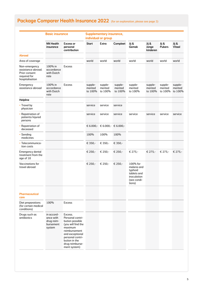|                                                                                         | <b>Basic insurance</b>                                       |                                                                                                                                                                                             |                              | <b>Supplementary insurance,</b><br>individual or group |                              |                                                                                           |                              |                              |                              |
|-----------------------------------------------------------------------------------------|--------------------------------------------------------------|---------------------------------------------------------------------------------------------------------------------------------------------------------------------------------------------|------------------------------|--------------------------------------------------------|------------------------------|-------------------------------------------------------------------------------------------|------------------------------|------------------------------|------------------------------|
|                                                                                         | <b>NN Health</b><br>insurance                                | <b>Excess or</b><br>personal<br>contribution                                                                                                                                                | <b>Start</b>                 | Extra                                                  | Compleet                     | Jij &<br>Gemak                                                                            | Jij &<br>Jonge<br>kinderen   | Jij &<br><b>Pubers</b>       | Jij &<br><b>Vitaal</b>       |
| <b>Abroad</b>                                                                           |                                                              |                                                                                                                                                                                             |                              |                                                        |                              |                                                                                           |                              |                              |                              |
| Area of coverage                                                                        |                                                              |                                                                                                                                                                                             | world                        | world                                                  | world                        | world                                                                                     | world                        | world                        | world                        |
| Non-emergency<br>assistance abroad.<br>Prior consent<br>required for<br>hospitalisation | 100% in<br>accordance<br>with Dutch<br>rate                  | <b>Excess</b>                                                                                                                                                                               |                              |                                                        |                              |                                                                                           |                              |                              |                              |
| Emergency<br>assistance abroad                                                          | 100% in<br>accordance<br>with Dutch<br>rate                  | <b>Excess</b>                                                                                                                                                                               | supple-<br>mented<br>to 100% | supple-<br>mented<br>to 100%                           | supple-<br>mented<br>to 100% | supple-<br>mented<br>to 100%                                                              | supple-<br>mented<br>to 100% | supple-<br>mented<br>to 100% | supple-<br>mented<br>to 100% |
| Helpline                                                                                |                                                              |                                                                                                                                                                                             |                              |                                                        |                              |                                                                                           |                              |                              |                              |
| • Travel by<br>physician                                                                |                                                              |                                                                                                                                                                                             | service                      | service                                                | service                      |                                                                                           |                              |                              |                              |
| Repatriation of<br>patients/injured<br>persons                                          |                                                              |                                                                                                                                                                                             | service                      | service                                                | service                      | service                                                                                   | service                      | service                      | service                      |
| Repatriation of<br>deceased                                                             |                                                              |                                                                                                                                                                                             |                              | € 6.000, $\in$ 6.000, $\in$ 6.000,                     |                              |                                                                                           |                              |                              |                              |
| Sending<br>medicines                                                                    |                                                              |                                                                                                                                                                                             | 100%                         | 100%                                                   | 100%                         |                                                                                           |                              |                              |                              |
| · Telecommunica-<br>tion costs                                                          |                                                              |                                                                                                                                                                                             | € 350,-                      | € 350,-                                                | € 350,-                      |                                                                                           |                              |                              |                              |
| Emergency dental<br>treatment from the<br>age of 18                                     |                                                              |                                                                                                                                                                                             | € 250,-                      | € 250,-                                                | € 250,-                      | € 275,-                                                                                   | € 275,-                      | € 275,-                      | € 275,-                      |
| Vaccinations for<br>travel abroad                                                       |                                                              |                                                                                                                                                                                             | € 250,-                      | € 250,-                                                | € 250,-                      | 100% for<br>malaria and<br>typhoid<br>tablets and<br>inoculation<br>(see condi-<br>tions) |                              |                              |                              |
| <b>Pharmaceutical</b><br>care                                                           |                                                              |                                                                                                                                                                                             |                              |                                                        |                              |                                                                                           |                              |                              |                              |
| Diet preparations<br>(for certain medical<br>conditions)                                | 100%                                                         | <b>Excess</b>                                                                                                                                                                               |                              |                                                        |                              |                                                                                           |                              |                              |                              |
| Drugs such as<br>antibiotics                                                            | in accord-<br>ance with<br>drug reim-<br>bursement<br>system | Excess.<br>Personal contri-<br>bution possible<br>(you will find the<br>maximum<br>reimbursement<br>and exceptional<br>personal contri-<br>bution in the<br>drug reimburse-<br>ment system) |                              |                                                        |                              |                                                                                           |                              |                              |                              |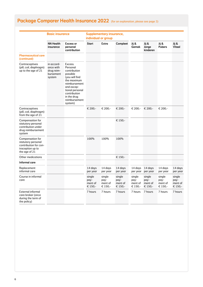|                                                                                                      | <b>Basic insurance</b>                                       |                                                                                                                                                                                               |                                      | <b>Supplementary insurance,</b><br>individual or group |                                      |                                      |                                      |                                      |                                      |
|------------------------------------------------------------------------------------------------------|--------------------------------------------------------------|-----------------------------------------------------------------------------------------------------------------------------------------------------------------------------------------------|--------------------------------------|--------------------------------------------------------|--------------------------------------|--------------------------------------|--------------------------------------|--------------------------------------|--------------------------------------|
|                                                                                                      | <b>NN Health</b><br>insurance                                | <b>Excess or</b><br>personal<br>contribution                                                                                                                                                  | <b>Start</b>                         | <b>Extra</b>                                           | Compleet                             | Jij &<br>Gemak                       | Jij &<br>Jonge<br>kinderen           | Jij &<br><b>Pubers</b>               | Jij &<br><b>Vitaal</b>               |
| <b>Pharmaceutical care</b><br>(continued)                                                            |                                                              |                                                                                                                                                                                               |                                      |                                                        |                                      |                                      |                                      |                                      |                                      |
| Contraceptives<br>(pill, coil, diaphragm)<br>up to the age of 21                                     | in accord-<br>ance with<br>drug reim-<br>bursement<br>system | Excess.<br>Personal<br>contribution<br>possible<br>(you will find<br>the maximum<br>reimbursement<br>and excep-<br>tional personal<br>contribution<br>in the drug<br>reimbursement<br>system) |                                      |                                                        |                                      |                                      |                                      |                                      |                                      |
| Contraceptives<br>(pill, coil, diaphragm)<br>from the age of 21                                      |                                                              |                                                                                                                                                                                               | € 200,-                              | € 200,-                                                | € 200,-                              | € 200,-                              | € 200,-                              | € 200,-                              |                                      |
| Compensation for<br>statutory personal<br>contribution under<br>drug reimbursement<br>system         |                                                              |                                                                                                                                                                                               |                                      |                                                        | € 150,-                              |                                      |                                      |                                      |                                      |
| Compensation for<br>statutory personal<br>contribution for con-<br>traception up to<br>the age of 21 |                                                              |                                                                                                                                                                                               | 100%                                 | 100%                                                   | 100%                                 |                                      |                                      |                                      |                                      |
| <b>Other medications</b>                                                                             |                                                              |                                                                                                                                                                                               |                                      |                                                        | € 150,-                              |                                      |                                      |                                      |                                      |
| Informal care                                                                                        |                                                              |                                                                                                                                                                                               |                                      |                                                        |                                      |                                      |                                      |                                      |                                      |
| Replacement<br>informal care                                                                         |                                                              |                                                                                                                                                                                               | 14 days<br>per year                  | 14 days<br>per year                                    | 14 days<br>per year                  | 14 days<br>per year                  | 14 days<br>per year                  | 14 days<br>per year                  | 14 days<br>per year                  |
| Course in informal<br>care                                                                           |                                                              |                                                                                                                                                                                               | single<br>pay-<br>ment of<br>€ 150,- | single<br>pay-<br>ment of<br>€ 150,-                   | single<br>pay-<br>ment of<br>€ 150,- | single<br>pay-<br>ment of<br>€ 150,- | single<br>pay-<br>ment of<br>€ 150,- | single<br>pay-<br>ment of<br>€ 150,- | single<br>pay-<br>ment of<br>€ 150,- |
| <b>External informal</b><br>care broker (once<br>during the term of<br>the policy)                   |                                                              |                                                                                                                                                                                               | 7 hours                              | 7 hours                                                | 7 hours                              | 7 hours                              | 7 hours                              | 7 hours                              | 7 hours                              |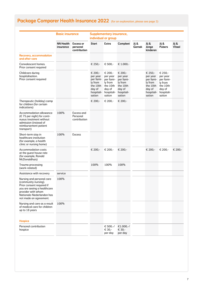|                                                                                                                                                                                            | <b>Basic insurance</b>        |                                              |                                                                                           | <b>Supplementary insurance,</b><br>individual or group                                    |                                                                                           |                |                                                                                           |                                                                                           |                        |
|--------------------------------------------------------------------------------------------------------------------------------------------------------------------------------------------|-------------------------------|----------------------------------------------|-------------------------------------------------------------------------------------------|-------------------------------------------------------------------------------------------|-------------------------------------------------------------------------------------------|----------------|-------------------------------------------------------------------------------------------|-------------------------------------------------------------------------------------------|------------------------|
|                                                                                                                                                                                            | <b>NN Health</b><br>insurance | <b>Excess or</b><br>personal<br>contribution | <b>Start</b>                                                                              | Extra                                                                                     | Compleet                                                                                  | Jij &<br>Gemak | Jij &<br>Jonge<br>kinderen                                                                | Jij &<br><b>Pubers</b>                                                                    | Jij &<br><b>Vitaal</b> |
| <b>Recovery, accommodation</b><br>and after-care                                                                                                                                           |                               |                                              |                                                                                           |                                                                                           |                                                                                           |                |                                                                                           |                                                                                           |                        |
| Convalescent homes.<br>Prior consent required                                                                                                                                              |                               |                                              | € 250,-                                                                                   | € 500,-                                                                                   | € 1.000,-                                                                                 |                |                                                                                           |                                                                                           |                        |
| Childcare during<br>hospitalisation.<br>Prior consent required                                                                                                                             |                               |                                              | € 200,-<br>per year<br>per fami-<br>ly from<br>the 10th<br>day of<br>hospitali-<br>sation | € 200,-<br>per year<br>per fami-<br>ly from<br>the 10th<br>day of<br>hospitali-<br>sation | € 200,-<br>per year<br>per fami-<br>ly from<br>the 10th<br>day of<br>hospitali-<br>sation |                | € 250,-<br>per year<br>per fami-<br>ly from<br>the 10th<br>day of<br>hospitali-<br>sation | € 250,-<br>per year<br>per fami-<br>ly from<br>the 10th<br>day of<br>hospitali-<br>sation |                        |
| Therapeutic (holiday) camp<br>for children (for certain<br>indications)                                                                                                                    |                               |                                              | € 200,-                                                                                   | € 200,-                                                                                   | € 200,-                                                                                   |                |                                                                                           |                                                                                           |                        |
| Accommodation allowance<br>(€ 75 per night) for conti-<br>nuous treatment without<br>admission (instead of<br>reimbursement patient<br>transport)                                          | 100%                          | Excess and<br>Personal<br>contribution       |                                                                                           |                                                                                           |                                                                                           |                |                                                                                           |                                                                                           |                        |
| Short-term stay in<br>healthcare institution<br>(for example, a health<br>clinic or nursing home)                                                                                          | 100%                          | <b>Excess</b>                                |                                                                                           |                                                                                           |                                                                                           |                |                                                                                           |                                                                                           |                        |
| <b>Accommodation costs</b><br>at the guest house rate<br>(for example, Ronald<br>McDonaldhuis)                                                                                             |                               |                                              | € 200,-                                                                                   | € 200,-                                                                                   | € 200,-                                                                                   |                | € 200,-                                                                                   | € 200,-                                                                                   | € 200,-                |
| Trauma processing<br>(work-related)                                                                                                                                                        |                               |                                              | 100%                                                                                      | 100%                                                                                      | 100%                                                                                      |                |                                                                                           |                                                                                           |                        |
| Assistance with recovery                                                                                                                                                                   | service                       |                                              |                                                                                           |                                                                                           |                                                                                           |                |                                                                                           |                                                                                           |                        |
| Nursing and personal care<br>(community nursing).<br>Prior consent required if<br>you are seeing a healthcare<br>provider with whom<br>Nationale-Nederlanden has<br>not made an agreement. | 100%                          |                                              |                                                                                           |                                                                                           |                                                                                           |                |                                                                                           |                                                                                           |                        |
| Nursing and care as a result<br>of medical care for children<br>up to 18 years                                                                                                             | 100%                          |                                              |                                                                                           |                                                                                           |                                                                                           |                |                                                                                           |                                                                                           |                        |
| <b>Hospice</b>                                                                                                                                                                             |                               |                                              |                                                                                           |                                                                                           |                                                                                           |                |                                                                                           |                                                                                           |                        |
| Personal contribution<br>hospice                                                                                                                                                           |                               |                                              |                                                                                           | € 500,-/<br>€ 30,-<br>per day                                                             | €1.000,-/<br>€ 30,-<br>per day                                                            |                |                                                                                           |                                                                                           |                        |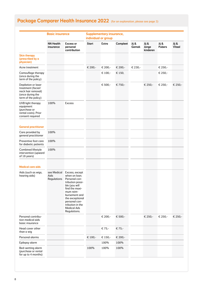|                                                                                                            | <b>Basic insurance</b>             |                                                                                                                                                                                                                                     |              | <b>Supplementary insurance,</b><br>individual or group |          |                |                            |                        |                        |
|------------------------------------------------------------------------------------------------------------|------------------------------------|-------------------------------------------------------------------------------------------------------------------------------------------------------------------------------------------------------------------------------------|--------------|--------------------------------------------------------|----------|----------------|----------------------------|------------------------|------------------------|
|                                                                                                            | <b>NN Health</b><br>insurance      | <b>Excess or</b><br>personal<br>contribution                                                                                                                                                                                        | <b>Start</b> | Extra                                                  | Compleet | Jij &<br>Gemak | Jij &<br>Jonge<br>kinderen | Jij &<br><b>Pubers</b> | Jij &<br><b>Vitaal</b> |
| <b>Skin therapy</b><br>(prescribed by a<br>physician)                                                      |                                    |                                                                                                                                                                                                                                     |              |                                                        |          |                |                            |                        |                        |
| Acne treatment                                                                                             |                                    |                                                                                                                                                                                                                                     | € 200,-      | € 200,-                                                | € 200,-  | € 230,-        |                            | € 250,-                |                        |
| Camouflage therapy<br>(once during the<br>term of the policy)                                              |                                    |                                                                                                                                                                                                                                     |              | € 100,-                                                | € 150,   |                |                            | € 250,-                |                        |
| Depilation or laser<br>treatment (facial/<br>neck hair removal)<br>(once during the<br>term of the policy) |                                    |                                                                                                                                                                                                                                     |              | € 500,-                                                | € 750,-  |                | € 250,-                    | € 250,-                | € 250,-                |
| <b>UVB</b> light therapy<br>equipment<br>(purchase or<br>rental costs). Prior<br>consent required          | 100%                               | <b>Excess</b>                                                                                                                                                                                                                       |              |                                                        |          |                |                            |                        |                        |
| <b>General practitioner</b>                                                                                |                                    |                                                                                                                                                                                                                                     |              |                                                        |          |                |                            |                        |                        |
| Care provided by<br>general practitioner                                                                   | 100%                               |                                                                                                                                                                                                                                     |              |                                                        |          |                |                            |                        |                        |
| Preventive foot care<br>for diabetic patients                                                              | 100%                               |                                                                                                                                                                                                                                     |              |                                                        |          |                |                            |                        |                        |
| Combined lifestyle<br>intervention (upward<br>of 18 years)                                                 | 100%                               |                                                                                                                                                                                                                                     |              |                                                        |          |                |                            |                        |                        |
| <b>Medical care aids</b>                                                                                   |                                    |                                                                                                                                                                                                                                     |              |                                                        |          |                |                            |                        |                        |
| Aids (such as wigs,<br>hearing aids)                                                                       | see Medical<br>Aids<br>Regulations | Excess, except<br>when on loan.<br>Personal con-<br>tribution possi-<br>ble (you will<br>find the maxi-<br>mum reim-<br>bursement and<br>the exceptional<br>personal con-<br>tribution in the<br><b>Medical Ads</b><br>Regulations. |              |                                                        |          |                |                            |                        |                        |
| Personal contribu-<br>tion medical aids<br>basic insurance                                                 |                                    |                                                                                                                                                                                                                                     |              | € 200,-                                                | € 500,-  |                | € 250,-                    | € 250,-                | € 250,-                |
| Head cover other<br>than a wig                                                                             |                                    |                                                                                                                                                                                                                                     |              | € 75,-                                                 | € 75,-   |                |                            |                        |                        |
| Personal alarms                                                                                            |                                    |                                                                                                                                                                                                                                     | € 100,-      | € 150,-                                                | € 200,-  |                |                            |                        |                        |
| Epilepsy alarm                                                                                             |                                    |                                                                                                                                                                                                                                     |              | 100%                                                   | 100%     |                |                            |                        |                        |
| Bed-wetting alarm<br>(purchase or rental<br>for up to 4 months)                                            |                                    |                                                                                                                                                                                                                                     | 100%         | 100%                                                   | 100%     |                |                            |                        |                        |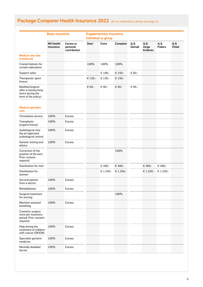|                                                                                    | <b>Basic insurance</b>        |                                              |              | <b>Supplementary insurance,</b><br>individual or group |           |                |                            |                        |                 |
|------------------------------------------------------------------------------------|-------------------------------|----------------------------------------------|--------------|--------------------------------------------------------|-----------|----------------|----------------------------|------------------------|-----------------|
|                                                                                    | <b>NN Health</b><br>insurance | <b>Excess or</b><br>personal<br>contribution | <b>Start</b> | <b>Extra</b>                                           | Compleet  | Jij &<br>Gemak | Jij &<br>Jonge<br>kinderen | Jij &<br><b>Pubers</b> | Jij &<br>Vitaal |
| <b>Medical care aids</b><br>(continued)                                            |                               |                                              |              |                                                        |           |                |                            |                        |                 |
| <b>Cranial helmets for</b><br>certain indications                                  |                               |                                              | 100%         | 100%                                                   | 100%      |                |                            |                        |                 |
| Support soles                                                                      |                               |                                              |              | € 100,-                                                | € 150,-   | € 60,-         |                            |                        |                 |
| Therapeutic sport<br>braces                                                        |                               |                                              | € 150,-      | € 150,-                                                | € 150,-   |                |                            |                        |                 |
| Modified lingerie<br>after a mastectomy<br>(once during the<br>term of the policy) |                               |                                              | € 90,-       | € 90,-                                                 | € 90,-    | € 90,-         |                            |                        |                 |
| <b>Medical specialist</b><br>care                                                  |                               |                                              |              |                                                        |           |                |                            |                        |                 |
| Thrombosis service                                                                 | 100%                          | <b>Excess</b>                                |              |                                                        |           |                |                            |                        |                 |
| Transplants<br>(organs/tissue)                                                     | 100%                          | <b>Excess</b>                                |              |                                                        |           |                |                            |                        |                 |
| Audiological care<br>(by an approved<br>audiological centre)                       | 100%                          | <b>Excess</b>                                |              |                                                        |           |                |                            |                        |                 |
| Genetic testing and<br>advice                                                      | 100%                          | <b>Excess</b>                                |              |                                                        |           |                |                            |                        |                 |
| Correction of the<br>position of the ears.<br>Prior consent<br>required            |                               |                                              |              |                                                        | 100%      |                |                            |                        |                 |
| Sterilisation for men                                                              |                               |                                              |              | € 400,-                                                | € 400,-   |                | € 400,-                    | € 400,-                |                 |
| Sterilisation for<br>women                                                         |                               |                                              |              | € 1.250,-                                              | € 1.250,- |                | € 1.250,-                  | € 1.250,-              |                 |
| Second opinion<br>from a doctor                                                    | 100%                          | <b>Excess</b>                                |              |                                                        |           |                |                            |                        |                 |
| Rehabilitation                                                                     | 100%                          | <b>Excess</b>                                |              |                                                        |           |                |                            |                        |                 |
| Surgical treatment<br>for snoring                                                  |                               |                                              |              |                                                        | 100%      |                |                            |                        |                 |
| Machine-assisted<br>breathing                                                      | 100%                          | Excess                                       |              |                                                        |           |                |                            |                        |                 |
| Cosmetic surgery<br>once per insurance<br>period. Prior consent<br>required        |                               |                                              |              |                                                        |           |                |                            |                        |                 |
| Help during the<br>treatment of children<br>with cancer (SKION)                    | 100%                          | <b>Excess</b>                                |              |                                                        |           |                |                            |                        |                 |
| Specialist geriatric<br>medicine                                                   | 100%                          | <b>Excess</b>                                |              |                                                        |           |                |                            |                        |                 |
| Mentally disabled<br>doctor                                                        | 100%                          | <b>Excess</b>                                |              |                                                        |           |                |                            |                        |                 |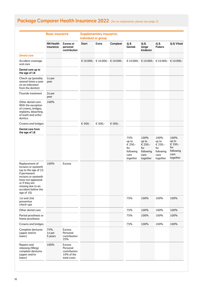|                                                                                                                                                                                                          | <b>Basic insurance</b>        |                                                                        | individual or group | <b>Supplementary insurance,</b> |                                       |                                                                 |                                                                  |                                                                  |                                                                  |
|----------------------------------------------------------------------------------------------------------------------------------------------------------------------------------------------------------|-------------------------------|------------------------------------------------------------------------|---------------------|---------------------------------|---------------------------------------|-----------------------------------------------------------------|------------------------------------------------------------------|------------------------------------------------------------------|------------------------------------------------------------------|
|                                                                                                                                                                                                          | <b>NN Health</b><br>insurance | <b>Excess or</b><br>personal<br>contribution                           | <b>Start</b>        | <b>Extra</b>                    | Compleet                              | Jij &<br>Gemak                                                  | Jij &<br>Jonge<br>kinderen                                       | Jij &<br><b>Pubers</b>                                           | Jij & Vitaal                                                     |
| <b>Dental care</b>                                                                                                                                                                                       |                               |                                                                        |                     |                                 |                                       |                                                                 |                                                                  |                                                                  |                                                                  |
| Accident coverage<br>oral care                                                                                                                                                                           |                               |                                                                        |                     |                                 | € 10.000, $\in$ 10.000, $\in$ 10.000, |                                                                 |                                                                  |                                                                  | € 10.000, $\in$ 10.000, $\in$ 10.000, $\in$ 10.000,              |
| Dental care up to<br>the age of 18                                                                                                                                                                       |                               |                                                                        |                     |                                 |                                       |                                                                 |                                                                  |                                                                  |                                                                  |
| Check-up (possibly<br>several times a year<br>on an indication<br>from the dentist)                                                                                                                      | $1x$ per<br>year              |                                                                        |                     |                                 |                                       |                                                                 |                                                                  |                                                                  |                                                                  |
| Fluoride treatment                                                                                                                                                                                       | 2x per<br>year                |                                                                        |                     |                                 |                                       |                                                                 |                                                                  |                                                                  |                                                                  |
| Other dental care.<br>With the exception<br>of crowns, bridges,<br>implants, bleaching<br>of teeth and ortho-<br>dontics                                                                                 | 100%                          |                                                                        |                     |                                 |                                       |                                                                 |                                                                  |                                                                  |                                                                  |
| Crowns and bridges                                                                                                                                                                                       |                               |                                                                        | € 500,-             | € 500,-                         | € 500,-                               |                                                                 |                                                                  |                                                                  |                                                                  |
| Dental care from<br>the age of 18                                                                                                                                                                        |                               |                                                                        |                     |                                 |                                       |                                                                 |                                                                  |                                                                  |                                                                  |
|                                                                                                                                                                                                          |                               |                                                                        |                     |                                 |                                       | 75%<br>up to<br>€ 250,-<br>for<br>following<br>care<br>together | 100%<br>up to<br>€ 250,-<br>for<br>following<br>care<br>together | 100%<br>up to<br>€ 250,-<br>for<br>following<br>care<br>together | 100%<br>up to<br>€ 350,-<br>for<br>following<br>care<br>together |
| Replacement of<br>incisors or eveteeth<br>(up to the age of 22,<br>if permanent<br>incisors or eyeteeth<br>have not appeared<br>or if they are<br>missing due to an<br>accident before the<br>age of 18) | 100%                          | <b>Excess</b>                                                          |                     |                                 |                                       |                                                                 |                                                                  |                                                                  |                                                                  |
| 1st and 2nd<br>preventive<br>check-ups                                                                                                                                                                   |                               |                                                                        |                     |                                 |                                       | 75%                                                             | 100%                                                             | 100%                                                             | 100%                                                             |
| Other dental care                                                                                                                                                                                        |                               |                                                                        |                     |                                 |                                       | 75%                                                             | 100%                                                             | 100%                                                             | 100%                                                             |
| Partial prosthesis or<br>frame prosthesis                                                                                                                                                                |                               |                                                                        |                     |                                 |                                       | 75%                                                             | 100%                                                             | 100%                                                             | 100%                                                             |
| Crowns and bridges                                                                                                                                                                                       |                               |                                                                        |                     |                                 |                                       | 75%                                                             | 100%                                                             | 100%                                                             | 100%                                                             |
| Complete dentures<br>(upper and/or<br>lower)                                                                                                                                                             | 75%,<br>1x per<br>5 years     | Excess.<br>Personal<br>contribution<br>25%                             |                     |                                 |                                       |                                                                 |                                                                  |                                                                  |                                                                  |
| Repairs and<br>rebasing (filling)<br>complete dentures<br>(upper and/or<br>lower)                                                                                                                        | 100%                          | <b>Excess</b><br>Personal<br>contribution<br>10% of the<br>total costs |                     |                                 |                                       |                                                                 |                                                                  |                                                                  |                                                                  |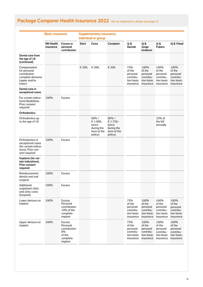|                                                                                                     | <b>Basic insurance</b>        |                                                                             |              | <b>Supplementary insurance,</b><br>individual or group                 |                                                                    |                                                                   |                                                                    |                                                                    |                                                                    |
|-----------------------------------------------------------------------------------------------------|-------------------------------|-----------------------------------------------------------------------------|--------------|------------------------------------------------------------------------|--------------------------------------------------------------------|-------------------------------------------------------------------|--------------------------------------------------------------------|--------------------------------------------------------------------|--------------------------------------------------------------------|
|                                                                                                     | <b>NN Health</b><br>insurance | <b>Excess or</b><br>personal<br>contribution                                | <b>Start</b> | Extra                                                                  | Compleet                                                           | Jij &<br>Gemak                                                    | Jij &<br>Jonge<br>kinderen                                         | Jij &<br><b>Pubers</b>                                             | Jij & Vitaal                                                       |
| <b>Dental care from</b><br>the age of 18<br>(continued)                                             |                               |                                                                             |              |                                                                        |                                                                    |                                                                   |                                                                    |                                                                    |                                                                    |
| Compensation<br>for personal<br>contribution<br>complete dentures<br>(upper and/or<br>lower)        |                               |                                                                             | € 200,       | € 200,                                                                 | € 200,                                                             | 75%<br>of the<br>personal<br>contribu-<br>tion basic<br>insurance | 100%<br>of the<br>personal<br>contribu-<br>tion basic<br>insurance | 100%<br>of the<br>personal<br>contribu-<br>tion basic<br>insurance | 100%<br>of the<br>personal<br>contribu-<br>tion basic<br>insurance |
| Dental care in<br>exceptional cases                                                                 |                               |                                                                             |              |                                                                        |                                                                    |                                                                   |                                                                    |                                                                    |                                                                    |
| For certain indica-<br>tions/disabilities.<br>Prior consent<br>required                             | 100%                          | <b>Excess</b>                                                               |              |                                                                        |                                                                    |                                                                   |                                                                    |                                                                    |                                                                    |
| <b>Orthodontics</b>                                                                                 |                               |                                                                             |              |                                                                        |                                                                    |                                                                   |                                                                    |                                                                    |                                                                    |
| Orthodontics up<br>to the age of 18                                                                 |                               |                                                                             |              | $80\%$ /<br>€ 1.000,-<br>(once<br>during the<br>term of the<br>policy) | 80%/<br>€ 1.750,-<br>(once<br>during the<br>term of the<br>policy) |                                                                   |                                                                    | 33% of<br>the bill<br>annually                                     |                                                                    |
| Orthodontics in<br>exceptional cases<br>(for certain indica-<br>tions). Prior con-<br>sent required | 100%                          | <b>Excess</b>                                                               |              |                                                                        |                                                                    |                                                                   |                                                                    |                                                                    |                                                                    |
| Implants (for cer-<br>tain indications).<br><b>Prior consent</b><br>required                        |                               |                                                                             |              |                                                                        |                                                                    |                                                                   |                                                                    |                                                                    |                                                                    |
| Reimbursement<br>dentist and oral<br>surgeon                                                        | 100%                          | <b>Excess</b>                                                               |              |                                                                        |                                                                    |                                                                   |                                                                    |                                                                    |                                                                    |
| Additional<br>outpatient clinic<br>and clinic costs<br>(hospital)                                   | 100%                          | <b>Excess</b>                                                               |              |                                                                        |                                                                    |                                                                   |                                                                    |                                                                    |                                                                    |
| Lower denture on<br>implant                                                                         | 100%                          | Excess.<br>Personal<br>contribution<br>$10\%$ of the<br>complete<br>implant |              |                                                                        |                                                                    | 75%<br>of the<br>personal<br>contribu-<br>tion basic<br>insurance | 100%<br>of the<br>personal<br>contribu-<br>tion basic<br>insurance | 100%<br>of the<br>personal<br>contribu-<br>tion basic<br>insurance | 100%<br>of the<br>personal<br>contribu-<br>tion basic<br>insurance |
| Upper denture on<br>implant                                                                         | 100%                          | Excess.<br>Personal<br>contribution<br>8%<br>of the<br>complete<br>implant  |              |                                                                        |                                                                    | 75%<br>of the<br>personal<br>contribu-<br>tion basic<br>insurance | 100%<br>of the<br>personal<br>contribu-<br>tion basic<br>insurance | 100%<br>of the<br>personal<br>contribu-<br>tion basic<br>insurance | 100%<br>of the<br>personal<br>contribu-<br>tion basic<br>insurance |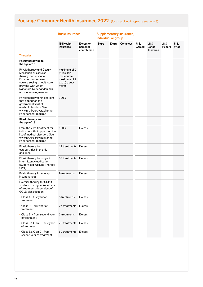|                                                                                                                                                                                                                       | <b>Basic insurance</b>                                                                 |                                              | individual or group |       | <b>Supplementary insurance,</b> |                |                            |                        |                        |
|-----------------------------------------------------------------------------------------------------------------------------------------------------------------------------------------------------------------------|----------------------------------------------------------------------------------------|----------------------------------------------|---------------------|-------|---------------------------------|----------------|----------------------------|------------------------|------------------------|
|                                                                                                                                                                                                                       | <b>NN Health</b><br>insurance                                                          | <b>Excess or</b><br>personal<br>contribution | <b>Start</b>        | Extra | Compleet                        | Jij &<br>Gemak | Jij &<br>Jonge<br>kinderen | Jij &<br><b>Pubers</b> | Jij &<br><b>Vitaal</b> |
| <b>Therapies</b>                                                                                                                                                                                                      |                                                                                        |                                              |                     |       |                                 |                |                            |                        |                        |
| Physiotherapy up to<br>the age of 18                                                                                                                                                                                  |                                                                                        |                                              |                     |       |                                 |                |                            |                        |                        |
| Physiotherapy and Cesar/<br>Mensendieck exercise<br>therapy, per indication.<br>Prior consent required if<br>you are seeing a healthcare<br>provider with whom<br>Nationale-Nederlanden has<br>not made an agreement. | maximum of 9<br>(if result is<br>inadequate,<br>maximum of 9<br>extra) treat-<br>ments |                                              |                     |       |                                 |                |                            |                        |                        |
| Physiotherapy for indications<br>that appear on the<br>government's list of<br>medical disorders. See<br>www.nn.nl/zorgverzekering.<br>Prior consent required                                                         | 100%                                                                                   |                                              |                     |       |                                 |                |                            |                        |                        |
| Physiotherapy from<br>the age of 18                                                                                                                                                                                   |                                                                                        |                                              |                     |       |                                 |                |                            |                        |                        |
| From the 21st treatment for<br>indications that appear on the<br>list of medical disorders. See<br>www.nn.nl/zorgverzekering.<br>Prior consent required                                                               | 100%                                                                                   | <b>Excess</b>                                |                     |       |                                 |                |                            |                        |                        |
| Physiotherapy for<br>osteoarthritis in the hip<br>and knee                                                                                                                                                            | 12 treatments                                                                          | <b>Excess</b>                                |                     |       |                                 |                |                            |                        |                        |
| Physiotherapy for stage 2<br>intermittent claudication<br>(Supervised Walking Therapy,<br>SWT)                                                                                                                        | 37 treatments                                                                          | Excess                                       |                     |       |                                 |                |                            |                        |                        |
| Pelvic therapy for urinary<br>incontinence)                                                                                                                                                                           | 9 treatments                                                                           | <b>Excess</b>                                |                     |       |                                 |                |                            |                        |                        |
| Exercise therapy for COPD<br>stadium II or higher (numbers<br>of treatments dependent of<br><b>GOLD</b> classification)                                                                                               |                                                                                        |                                              |                     |       |                                 |                |                            |                        |                        |
| • Class A - first year of<br>treatment                                                                                                                                                                                | 5 treatments                                                                           | <b>Excess</b>                                |                     |       |                                 |                |                            |                        |                        |
| • Class B1 - first year of<br>treatment                                                                                                                                                                               | 27 treatments                                                                          | Excess                                       |                     |       |                                 |                |                            |                        |                        |
| • Class B1 - from second year<br>of treatment                                                                                                                                                                         | 3 treatments                                                                           | Excess                                       |                     |       |                                 |                |                            |                        |                        |
| · Class B2, C en D - first year<br>of treatment                                                                                                                                                                       | 70 treatments                                                                          | Excess                                       |                     |       |                                 |                |                            |                        |                        |
| • Class B2, C en D - from<br>second year of treatment                                                                                                                                                                 | 52 treatments Excess                                                                   |                                              |                     |       |                                 |                |                            |                        |                        |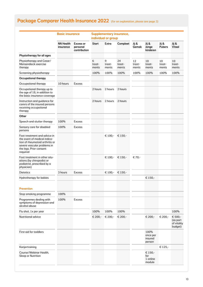|                                                                                                                                                                       | <b>Basic insurance</b>        |                                              |                      | individual or group  | <b>Supplementary insurance,</b> |                       |                                       |                        |                                               |
|-----------------------------------------------------------------------------------------------------------------------------------------------------------------------|-------------------------------|----------------------------------------------|----------------------|----------------------|---------------------------------|-----------------------|---------------------------------------|------------------------|-----------------------------------------------|
|                                                                                                                                                                       | <b>NN Health</b><br>insurance | <b>Excess or</b><br>personal<br>contribution | <b>Start</b>         | <b>Extra</b>         | Compleet                        | Jij &<br>Gemak        | Jij &<br>Jonge<br>kinderen            | Jij &<br><b>Pubers</b> | Jij &<br><b>Vitaal</b>                        |
| Physiotherapy for all ages                                                                                                                                            |                               |                                              |                      |                      |                                 |                       |                                       |                        |                                               |
| Physiotherapy and Cesar/<br>Mensendieck exercise<br>therapy                                                                                                           |                               |                                              | 6<br>treat-<br>ments | 9<br>treat-<br>ments | 24<br>treat-<br>ments           | 12<br>treat-<br>ments | 10<br>treat-<br>ments                 | 10<br>treat-<br>ments  | 10<br>treat-<br>ments                         |
| Screening physiotherapy                                                                                                                                               |                               |                                              | 100%                 | 100%                 | 100%                            | 100%                  | 100%                                  | 100%                   | 100%                                          |
| <b>Occupational therapy</b>                                                                                                                                           |                               |                                              |                      |                      |                                 |                       |                                       |                        |                                               |
| Occupational therapy                                                                                                                                                  | 10 hours                      | <b>Excess</b>                                |                      |                      |                                 |                       |                                       |                        |                                               |
| Occupational therapy up to<br>the age of 18, in addition to<br>the basic insurance coverage                                                                           |                               |                                              | 2 hours              | 2 hours              | 2 hours                         |                       |                                       |                        |                                               |
| Instruction and guidance for<br>carers of the insured persons<br>receiving occupational<br>therapy                                                                    |                               |                                              | 2 hours              | 2 hours              | 2 hours                         |                       |                                       |                        |                                               |
| Other                                                                                                                                                                 |                               |                                              |                      |                      |                                 |                       |                                       |                        |                                               |
| Speech and stutter therapy                                                                                                                                            | 100%                          | <b>Excess</b>                                |                      |                      |                                 |                       |                                       |                        |                                               |
| Sensory care for disabled<br>persons                                                                                                                                  | 100%                          | <b>Excess</b>                                |                      |                      |                                 |                       |                                       |                        |                                               |
| Foot treatment and advice in<br>the event of medical indica-<br>tion of rheumatoid arthritis or<br>severe vascular problems in<br>the legs. Prior consent<br>required |                               |                                              |                      | € 100,-              | € 150,-                         |                       |                                       |                        |                                               |
| Foot treatment in other situ-<br>ations (by chiropodist or<br>podiatrist, prescribed by a<br>physician)                                                               |                               |                                              |                      | € 100,-              | € 150,-                         | € 70,-                |                                       |                        |                                               |
| <b>Dietetics</b>                                                                                                                                                      | 3 hours                       | <b>Excess</b>                                |                      | € 100,-              | € 150,-                         |                       |                                       |                        |                                               |
| <b>Hydrotherapy for babies</b>                                                                                                                                        |                               |                                              |                      |                      |                                 |                       | € 150,-                               |                        |                                               |
| <b>Prevention</b>                                                                                                                                                     |                               |                                              |                      |                      |                                 |                       |                                       |                        |                                               |
| Stop smoking programme                                                                                                                                                | 100%                          |                                              |                      |                      |                                 |                       |                                       |                        |                                               |
| Programmes dealing with<br>symptoms of depression and<br>alcohol abuse                                                                                                | 100%                          | <b>Excess</b>                                |                      |                      |                                 |                       |                                       |                        |                                               |
| Flu shot, 1x per year                                                                                                                                                 |                               |                                              | 100%                 | 100%                 | 100%                            |                       |                                       |                        | 100%                                          |
| <b>Nutritional advice</b>                                                                                                                                             |                               |                                              | € 200,-              | € 200,-              | € 200,-                         |                       | € 200,-                               | € 200,-                | € 500,-<br>(as part<br>of vitality<br>budget) |
| First aid for toddlers                                                                                                                                                |                               |                                              |                      |                      |                                 |                       | 100%<br>once per<br>insured<br>person |                        |                                               |
| Kanjertraining                                                                                                                                                        |                               |                                              |                      |                      |                                 |                       |                                       | € 125,-                |                                               |
| Course/Webinar Health,<br>Sleep or Nutrition                                                                                                                          |                               |                                              |                      |                      |                                 |                       | € 150,-<br>for<br>1 online<br>module  |                        |                                               |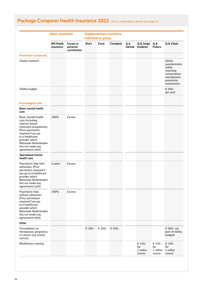|                                                                                                                                                                                                                                           |                               |                                              |              | individual or group |          |                |                                      |                                      |                                                                                                             |
|-------------------------------------------------------------------------------------------------------------------------------------------------------------------------------------------------------------------------------------------|-------------------------------|----------------------------------------------|--------------|---------------------|----------|----------------|--------------------------------------|--------------------------------------|-------------------------------------------------------------------------------------------------------------|
|                                                                                                                                                                                                                                           | <b>NN Health</b><br>insurance | <b>Excess or</b><br>personal<br>contribution | <b>Start</b> | Extra               | Compleet | Jij &<br>Gemak | Jij & Jonge<br>kinderen              | Jij &<br><b>Pubers</b>               | Jij & Vitaal                                                                                                |
| <b>Prevention (continued)</b>                                                                                                                                                                                                             |                               |                                              |              |                     |          |                |                                      |                                      |                                                                                                             |
| Vitality research                                                                                                                                                                                                                         |                               |                                              |              |                     |          |                |                                      |                                      | Online<br>questionnaire,<br>online<br>coaching<br>conversation<br>and physical<br>preventive<br>examination |
| Vitality budget                                                                                                                                                                                                                           |                               |                                              |              |                     |          |                |                                      |                                      | € 500,-<br>per year                                                                                         |
| <b>Psychological care</b>                                                                                                                                                                                                                 |                               |                                              |              |                     |          |                |                                      |                                      |                                                                                                             |
| <b>Basic mental health</b><br>care                                                                                                                                                                                                        |                               |                                              |              |                     |          |                |                                      |                                      |                                                                                                             |
| <b>Basic mental health</b><br>care (including<br>internet-based<br>treatment programme).<br>(Prior permission<br>required if you go<br>to a healthcare<br>provider which<br>Nationale-Nederlanden<br>has not made any<br>agreements with) | 100%                          | <b>Excess</b>                                |              |                     |          |                |                                      |                                      |                                                                                                             |
| <b>Specialised mental</b><br>health care                                                                                                                                                                                                  |                               |                                              |              |                     |          |                |                                      |                                      |                                                                                                             |
| Psychiatric help with<br>admission. (Prior<br>permission required if<br>you go to a healthcare<br>provider which<br>Nationale-Nederlanden<br>has not made any<br>agreements with)                                                         | 3 years                       | <b>Excess</b>                                |              |                     |          |                |                                      |                                      |                                                                                                             |
| Psychiatric help<br>without admission.<br>(Prior permission<br>required if you go<br>to a healthcare<br>provider which<br>Nationale-Nederlanden<br>has not made any<br>agreements with)                                                   | 100%                          | <b>Excess</b>                                |              |                     |          |                |                                      |                                      |                                                                                                             |
| Other                                                                                                                                                                                                                                     |                               |                                              |              |                     |          |                |                                      |                                      |                                                                                                             |
| Consultation on<br>menopause, pregnancy<br>or cancer (e.g. breast<br>cancer)                                                                                                                                                              |                               |                                              | € 200,-      | € 200,- € 200,-     |          |                |                                      |                                      | € 500,- (as<br>part of vitality<br>budget)                                                                  |
| Mindfulness training                                                                                                                                                                                                                      |                               |                                              |              |                     |          |                | € 150,-<br>for<br>1 online<br>course | € 150,-<br>for<br>1 online<br>course | € 150,-<br>for<br>1 online<br>course                                                                        |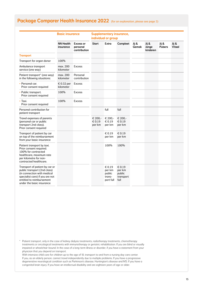|                                                                                                                                                                                            | <b>Basic insurance</b>        |                                              | <b>Supplementary insurance,</b><br>individual or group |                                                   |                                                 |                |                            |                        |                        |
|--------------------------------------------------------------------------------------------------------------------------------------------------------------------------------------------|-------------------------------|----------------------------------------------|--------------------------------------------------------|---------------------------------------------------|-------------------------------------------------|----------------|----------------------------|------------------------|------------------------|
|                                                                                                                                                                                            | <b>NN Health</b><br>insurance | <b>Excess or</b><br>personal<br>contribution | <b>Start</b>                                           | Extra                                             | Compleet                                        | Jij &<br>Gemak | Jij &<br>Jonge<br>kinderen | Jij &<br><b>Pubers</b> | Jij &<br><b>Vitaal</b> |
| <b>Transport</b>                                                                                                                                                                           |                               |                                              |                                                        |                                                   |                                                 |                |                            |                        |                        |
| Transport for organ donor                                                                                                                                                                  | 100%                          |                                              |                                                        |                                                   |                                                 |                |                            |                        |                        |
| Ambulance transport<br>service (one way)                                                                                                                                                   | max. 200<br>kilometer         | <b>Excess</b>                                |                                                        |                                                   |                                                 |                |                            |                        |                        |
| Patient transport* (one way)<br>in the following situations:                                                                                                                               | max. 200<br>kilometer         | Personal<br>contribution                     |                                                        |                                                   |                                                 |                |                            |                        |                        |
| • Personal car.<br>Prior consent required                                                                                                                                                  | € 0.32 per<br>kilometer       | <b>Excess</b>                                |                                                        |                                                   |                                                 |                |                            |                        |                        |
| • Public transport.<br>Prior consent required                                                                                                                                              | 100%                          | <b>Excess</b>                                |                                                        |                                                   |                                                 |                |                            |                        |                        |
| $\cdot$ Taxi.<br>Prior consent required                                                                                                                                                    | 100%                          | <b>Excess</b>                                |                                                        |                                                   |                                                 |                |                            |                        |                        |
| Personal contribution for<br>patient transport                                                                                                                                             |                               |                                              |                                                        | full                                              | full                                            |                |                            |                        |                        |
| Travel expenses of parents<br>(personal car or public<br>transport 2nd class).<br>Prior consent required                                                                                   |                               |                                              | € 200,-<br>$\epsilon$ 0.19<br>per km                   | € 200,-<br>$\epsilon$ 0.19<br>per km              | € 200,-<br>€ 0.19<br>per km                     |                |                            |                        |                        |
| Transport of patient by car<br>on top of the reimbursement<br>from your basic insurance                                                                                                    |                               |                                              |                                                        | € 0.19<br>per km                                  | € 0.19<br>per km                                |                |                            |                        |                        |
| Patient transport by taxi.<br>Prior consent required.<br>100% for contracted<br>healthcare, maximum rate<br>per kilometre for non-<br>contracted healthcare.                               |                               |                                              |                                                        | 100%                                              | 100%                                            |                |                            |                        |                        |
| Transport of patient by car or<br>public transport (2nd class)<br>(in connection with medical<br>specialist care) if you are not<br>entitled to reimbursement<br>under the basic insurance |                               |                                              |                                                        | € 0.19<br>per km<br>public<br>trans-<br>port full | € 0.19<br>per km<br>public<br>transport<br>full |                |                            |                        |                        |

\* Patient transport, only in the case of kidney dialysis treatments, radiotherapy treatments, chemotherapy treatments or oncological treatments with immunotherapy or geriatric rehabilitation. If you are blind or visually impaired or wheelchair-bound. In the case of a long-term illness or disorder, if you have a statement from your physician that you depend on transport.

With intensive child care for children up to the age of 18, transport to and from a nursing day care center. If you, as an elderly person, cannot travel independently due to multiple problems. If you have a progressive degenerative neurological condition such as Parkinson's disease, Huntington's disease and MS. If you have a congenital brain injury. If you have an intellectual disability and are eighteen years of age or older.